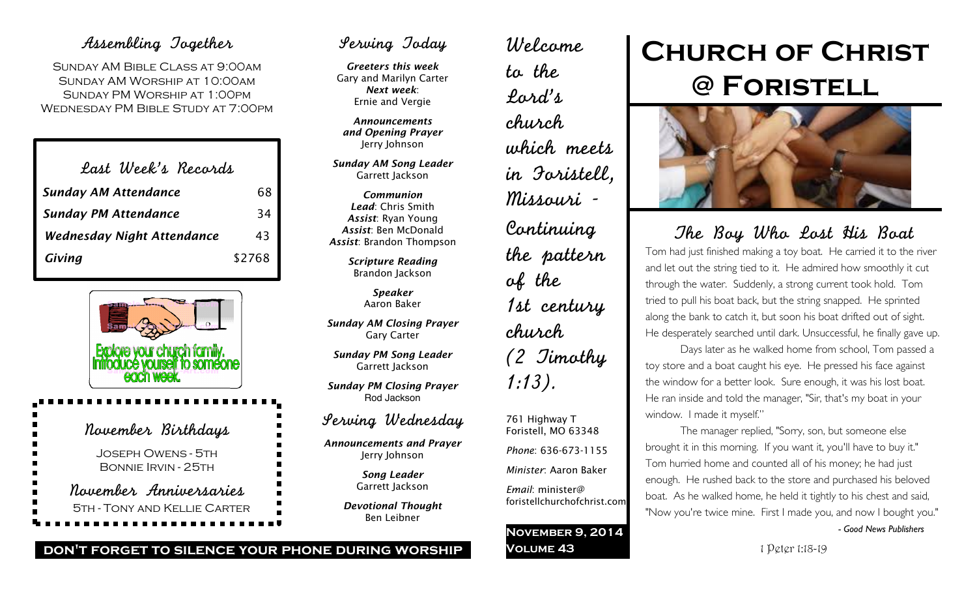### Assembling Together

SUNDAY AM BIBLE CLASS AT 9:00AM Sunday AM Worship at 10:00am Sunday PM Worship at 1:00pm Wednesday PM Bible Study at 7:00pm

| Last Week's Records               |        |
|-----------------------------------|--------|
| <b>Sunday AM Attendance</b>       | 68     |
| <b>Sunday PM Attendance</b>       | 34     |
| <b>Wednesday Night Attendance</b> | 43     |
| Giving                            | \$2768 |



November Birthdays Joseph Owens - 5th Bonnie Irvin - 25th November Anniversaries 5th - Tony and Kellie Carter

## Serving Today

*Greeters this week* Gary and Marilyn Carter *Next week*: Ernie and Vergie

*Announcements and Opening Prayer* Jerry Johnson

*Sunday AM Song Leader* Garrett Jackson

*Communion Lead*: Chris Smith *Assist*: Ryan Young *Assist*: Ben McDonald *Assist*: Brandon Thompson

> *Scripture Reading* Brandon Jackson

> > *Speaker* Aaron Baker

*Sunday AM Closing Prayer* Gary Carter

*Sunday PM Song Leader* Garrett Jackson

*Sunday PM Closing Prayer* Rod Jackson

### Serving Wednesday

*Announcements and Prayer* Jerry Johnson

> *Song Leader* Garrett Jackson

*Devotional Thought* Ben Leibner

Welcome to the Lord's church which meets in Foristell, Missouri - Continuing the pattern of the 1st century church (2 Timothy 1:13). 761 Highway T

Foristell, MO 63348 *Phone*: 636-673-1155 *Minister*: Aaron Baker

*Email*: minister@ foristellchurchofchrist.com

### **November 9, 2014 Volume 43**

# **Church of Christ @ Foristell**



The Boy Who Lost His Boat Tom had just finished making a toy boat. He carried it to the river and let out the string tied to it. He admired how smoothly it cut through the water. Suddenly, a strong current took hold. Tom tried to pull his boat back, but the string snapped. He sprinted along the bank to catch it, but soon his boat drifted out of sight. He desperately searched until dark. Unsuccessful, he finally gave up.

Days later as he walked home from school, Tom passed a toy store and a boat caught his eye. He pressed his face against the window for a better look. Sure enough, it was his lost boat. He ran inside and told the manager, "Sir, that's my boat in your window. I made it myself."

The manager replied, "Sorry, son, but someone else brought it in this morning. If you want it, you'll have to buy it." Tom hurried home and counted all of his money; he had just enough. He rushed back to the store and purchased his beloved boat. As he walked home, he held it tightly to his chest and said, "Now you're twice mine. First I made you, and now I bought you." *- Good News Publishers*

**don't forget to silence your phone during worship**

1 Peter 1:18-19